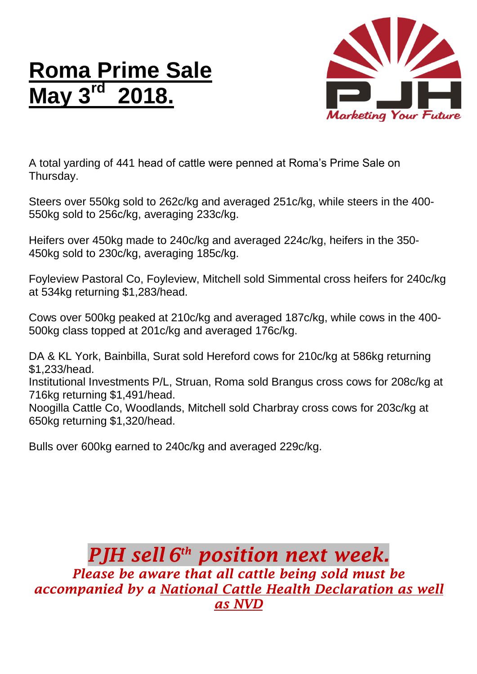## **Roma Prime Sale May 3 rd 2018.**



A total yarding of 441 head of cattle were penned at Roma's Prime Sale on Thursday.

Steers over 550kg sold to 262c/kg and averaged 251c/kg, while steers in the 400- 550kg sold to 256c/kg, averaging 233c/kg.

Heifers over 450kg made to 240c/kg and averaged 224c/kg, heifers in the 350- 450kg sold to 230c/kg, averaging 185c/kg.

Foyleview Pastoral Co, Foyleview, Mitchell sold Simmental cross heifers for 240c/kg at 534kg returning \$1,283/head.

Cows over 500kg peaked at 210c/kg and averaged 187c/kg, while cows in the 400- 500kg class topped at 201c/kg and averaged 176c/kg.

DA & KL York, Bainbilla, Surat sold Hereford cows for 210c/kg at 586kg returning \$1,233/head.

Institutional Investments P/L, Struan, Roma sold Brangus cross cows for 208c/kg at 716kg returning \$1,491/head.

Noogilla Cattle Co, Woodlands, Mitchell sold Charbray cross cows for 203c/kg at 650kg returning \$1,320/head.

Bulls over 600kg earned to 240c/kg and averaged 229c/kg.

## *PJH sell 6 th position next week. Please be aware that all cattle being sold must be accompanied by a National Cattle Health Declaration as well as NVD*